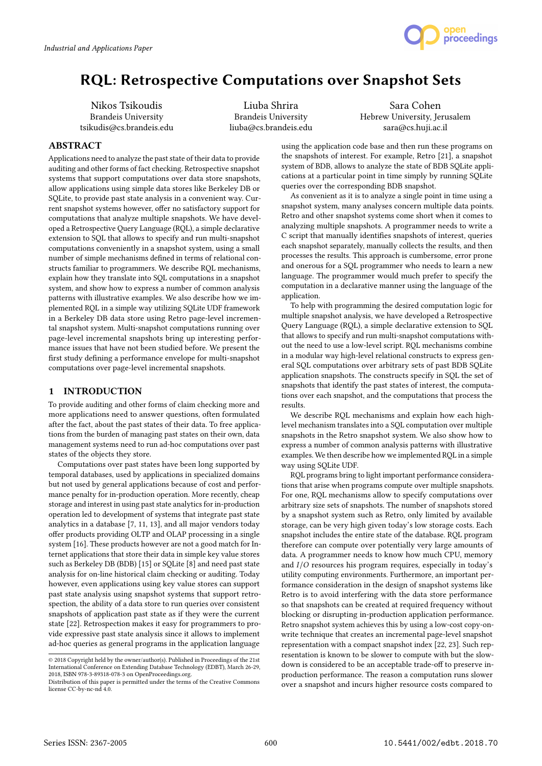

# RQL: Retrospective Computations over Snapshot Sets

Nikos Tsikoudis Brandeis University tsikudis@cs.brandeis.edu

Liuba Shrira Brandeis University liuba@cs.brandeis.edu

Sara Cohen Hebrew University, Jerusalem sara@cs.huji.ac.il

# ABSTRACT

Applications need to analyze the past state of their data to provide auditing and other forms of fact checking. Retrospective snapshot systems that support computations over data store snapshots, allow applications using simple data stores like Berkeley DB or SQLite, to provide past state analysis in a convenient way. Current snapshot systems however, offer no satisfactory support for computations that analyze multiple snapshots. We have developed a Retrospective Query Language (RQL), a simple declarative extension to SQL that allows to specify and run multi-snapshot computations conveniently in a snapshot system, using a small number of simple mechanisms defined in terms of relational constructs familiar to programmers. We describe RQL mechanisms, explain how they translate into SQL computations in a snapshot system, and show how to express a number of common analysis patterns with illustrative examples. We also describe how we implemented RQL in a simple way utilizing SQLite UDF framework in a Berkeley DB data store using Retro page-level incremental snapshot system. Multi-snapshot computations running over page-level incremental snapshots bring up interesting performance issues that have not been studied before. We present the first study defining a performance envelope for multi-snapshot computations over page-level incremental snapshots.

# 1 INTRODUCTION

To provide auditing and other forms of claim checking more and more applications need to answer questions, often formulated after the fact, about the past states of their data. To free applications from the burden of managing past states on their own, data management systems need to run ad-hoc computations over past states of the objects they store.

Computations over past states have been long supported by temporal databases, used by applications in specialized domains but not used by general applications because of cost and performance penalty for in-production operation. More recently, cheap storage and interest in using past state analytics for in-production operation led to development of systems that integrate past state analytics in a database [7, 11, 13], and all major vendors today offer products providing OLTP and OLAP processing in a single system [16]. These products however are not a good match for Internet applications that store their data in simple key value stores such as Berkeley DB (BDB) [15] or SQLite [8] and need past state analysis for on-line historical claim checking or auditing. Today however, even applications using key value stores can support past state analysis using snapshot systems that support retrospection, the ability of a data store to run queries over consistent snapshots of application past state as if they were the current state [22]. Retrospection makes it easy for programmers to provide expressive past state analysis since it allows to implement ad-hoc queries as general programs in the application language

using the application code base and then run these programs on the snapshots of interest. For example, Retro [21], a snapshot system of BDB, allows to analyze the state of BDB SOLite applications at a particular point in time simply by running SQLite queries over the corresponding BDB snapshot.

As convenient as it is to analyze a single point in time using a snapshot system, many analyses concern multiple data points. Retro and other snapshot systems come short when it comes to analyzing multiple snapshots. A programmer needs to write a C script that manually identifies snapshots of interest, queries each snapshot separately, manually collects the results, and then processes the results. This approach is cumbersome, error prone and onerous for a SQL programmer who needs to learn a new language. The programmer would much prefer to specify the computation in a declarative manner using the language of the application.

To help with programming the desired computation logic for multiple snapshot analysis, we have developed a Retrospective Query Language (RQL), a simple declarative extension to SQL that allows to specify and run multi-snapshot computations without the need to use a low-level script. RQL mechanisms combine in a modular way high-level relational constructs to express general SQL computations over arbitrary sets of past BDB SQLite application snapshots. The constructs specify in SQL the set of snapshots that identify the past states of interest, the computations over each snapshot, and the computations that process the results.

We describe RQL mechanisms and explain how each highlevel mechanism translates into a SQL computation over multiple snapshots in the Retro snapshot system. We also show how to express a number of common analysis patterns with illustrative examples. We then describe how we implemented RQL in a simple way using SQLite UDF.

RQL programs bring to light important performance considerations that arise when programs compute over multiple snapshots. For one, RQL mechanisms allow to specify computations over arbitrary size sets of snapshots. The number of snapshots stored by a snapshot system such as Retro, only limited by available storage, can be very high given today's low storage costs. Each snapshot includes the entire state of the database. RQL program therefore can compute over potentially very large amounts of data. A programmer needs to know how much CPU, memory and I/O resources his program requires, especially in today's utility computing environments. Furthermore, an important performance consideration in the design of snapshot systems like Retro is to avoid interfering with the data store performance so that snapshots can be created at required frequency without blocking or disrupting in-production application performance. Retro snapshot system achieves this by using a low-cost copy-onwrite technique that creates an incremental page-level snapshot representation with a compact snapshot index [22, 23]. Such representation is known to be slower to compute with but the slowdown is considered to be an acceptable trade-off to preserve inproduction performance. The reason a computation runs slower over a snapshot and incurs higher resource costs compared to

<sup>©</sup> 2018 Copyright held by the owner/author(s). Published in Proceedings of the 21st International Conference on Extending Database Technology (EDBT), March 26-29, 2018, ISBN 978-3-89318-078-3 on OpenProceedings.org.

Distribution of this paper is permitted under the terms of the Creative Commons license CC-by-nc-nd 4.0.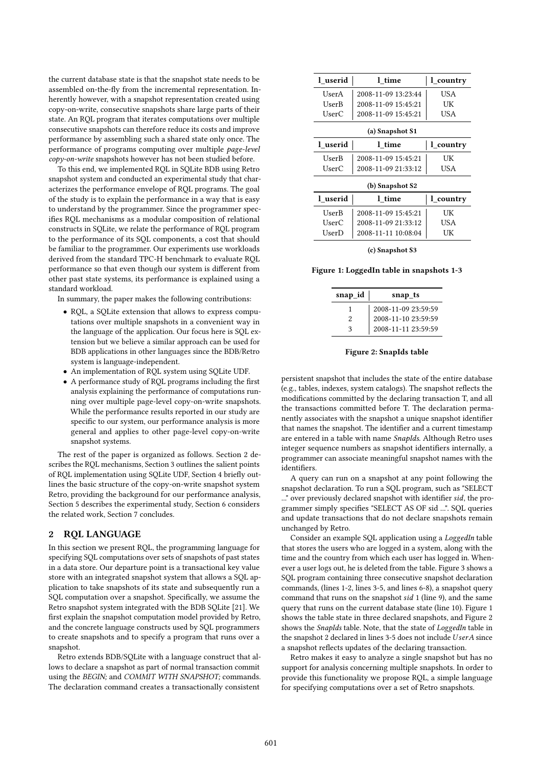the current database state is that the snapshot state needs to be assembled on-the-fly from the incremental representation. Inherently however, with a snapshot representation created using copy-on-write, consecutive snapshots share large parts of their state. An RQL program that iterates computations over multiple consecutive snapshots can therefore reduce its costs and improve performance by assembling such a shared state only once. The performance of programs computing over multiple page-level copy-on-write snapshots however has not been studied before.

To this end, we implemented RQL in SQLite BDB using Retro snapshot system and conducted an experimental study that characterizes the performance envelope of RQL programs. The goal of the study is to explain the performance in a way that is easy to understand by the programmer. Since the programmer specifies RQL mechanisms as a modular composition of relational constructs in SQLite, we relate the performance of RQL program to the performance of its SQL components, a cost that should be familiar to the programmer. Our experiments use workloads derived from the standard TPC-H benchmark to evaluate RQL performance so that even though our system is different from other past state systems, its performance is explained using a standard workload.

In summary, the paper makes the following contributions:

- RQL, a SQLite extension that allows to express computations over multiple snapshots in a convenient way in the language of the application. Our focus here is SQL extension but we believe a similar approach can be used for BDB applications in other languages since the BDB/Retro system is language-independent.
- An implementation of RQL system using SQLite UDF.
- A performance study of RQL programs including the first analysis explaining the performance of computations running over multiple page-level copy-on-write snapshots. While the performance results reported in our study are specific to our system, our performance analysis is more general and applies to other page-level copy-on-write snapshot systems.

The rest of the paper is organized as follows. Section 2 describes the RQL mechanisms, Section 3 outlines the salient points of RQL implementation using SQLite UDF, Section 4 briefly outlines the basic structure of the copy-on-write snapshot system Retro, providing the background for our performance analysis, Section 5 describes the experimental study, Section 6 considers the related work, Section 7 concludes.

## 2 RQL LANGUAGE

In this section we present RQL, the programming language for specifying SQL computations over sets of snapshots of past states in a data store. Our departure point is a transactional key value store with an integrated snapshot system that allows a SQL application to take snapshots of its state and subsequently run a SQL computation over a snapshot. Specifically, we assume the Retro snapshot system integrated with the BDB SQLite [21]. We first explain the snapshot computation model provided by Retro, and the concrete language constructs used by SQL programmers to create snapshots and to specify a program that runs over a snapshot.

Retro extends BDB/SQLite with a language construct that allows to declare a snapshot as part of normal transaction commit using the BEGIN; and COMMIT WITH SNAPSHOT; commands. The declaration command creates a transactionally consistent

| 1 userid        | l time              | 1 country |  |  |
|-----------------|---------------------|-----------|--|--|
| UserA           | 2008-11-09 13:23:44 | USA       |  |  |
| UserB           | 2008-11-09 15:45:21 | UК        |  |  |
| UserC           | 2008-11-09 15:45:21 | USA       |  |  |
| (a) Snapshot S1 |                     |           |  |  |
| 1 userid        | l time              | l country |  |  |
| UserB           | 2008-11-09 15:45:21 | UК        |  |  |
| UserC           | 2008-11-09 21:33:12 | USA       |  |  |
| (b) Snapshot S2 |                     |           |  |  |
| 1 userid        | l time              | 1 country |  |  |
| UserB           | 2008-11-09 15:45:21 | UK        |  |  |
| UserC           | 2008-11-09 21:33:12 | USA       |  |  |
| UserD           | 2008-11-11 10:08:04 | UK        |  |  |

(c) Snapshot S3

Figure 1: LoggedIn table in snapshots 1-3

| snap_id        | snap_ts             |
|----------------|---------------------|
|                | 2008-11-09 23:59:59 |
| $\mathfrak{D}$ | 2008-11-10 23:59:59 |
| κ              | 2008-11-11 23:59:59 |

Figure 2: SnapIds table

persistent snapshot that includes the state of the entire database (e.g., tables, indexes, system catalogs). The snapshot reflects the modifications committed by the declaring transaction T, and all the transactions committed before T. The declaration permanently associates with the snapshot a unique snapshot identifier that names the snapshot. The identifier and a current timestamp are entered in a table with name SnapIds. Although Retro uses integer sequence numbers as snapshot identifiers internally, a programmer can associate meaningful snapshot names with the identifiers.

A query can run on a snapshot at any point following the snapshot declaration. To run a SQL program, such as "SELECT ..." over previously declared snapshot with identifier sid, the programmer simply specifies "SELECT AS OF sid ...". SQL queries and update transactions that do not declare snapshots remain unchanged by Retro.

Consider an example SQL application using a LoggedIn table that stores the users who are logged in a system, along with the time and the country from which each user has logged in. Whenever a user logs out, he is deleted from the table. Figure 3 shows a SQL program containing three consecutive snapshot declaration commands, (lines 1-2, lines 3-5, and lines 6-8), a snapshot query command that runs on the snapshot sid 1 (line 9), and the same query that runs on the current database state (line 10). Figure 1 shows the table state in three declared snapshots, and Figure 2 shows the SnapIds table. Note, that the state of LoggedIn table in the snapshot 2 declared in lines 3-5 does not include UserA since a snapshot reflects updates of the declaring transaction.

Retro makes it easy to analyze a single snapshot but has no support for analysis concerning multiple snapshots. In order to provide this functionality we propose RQL, a simple language for specifying computations over a set of Retro snapshots.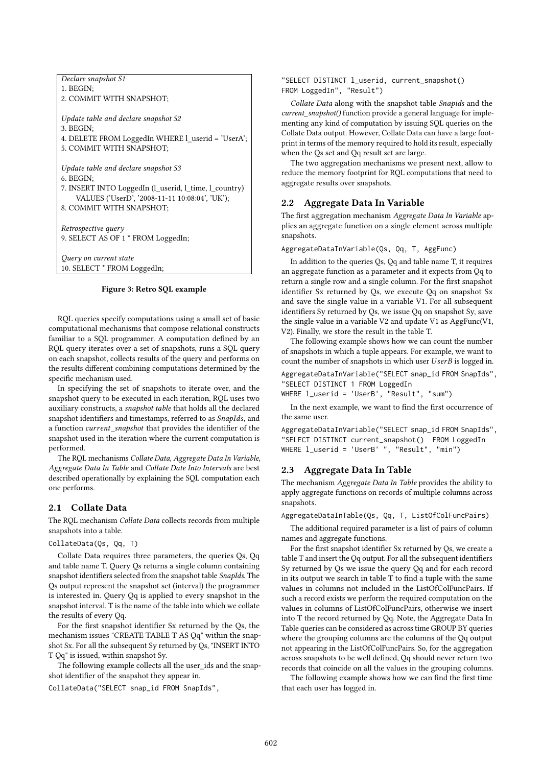| Declare snapshot S1                                   |
|-------------------------------------------------------|
| 1. BEGIN:                                             |
| 2. COMMIT WITH SNAPSHOT:                              |
|                                                       |
| Update table and declare snapshot S2                  |
| 3. BEGIN:                                             |
| 4. DELETE FROM LoggedIn WHERE 1 userid = 'UserA';     |
| 5. COMMIT WITH SNAPSHOT:                              |
|                                                       |
| Update table and declare snapshot S3                  |
| 6. BEGIN:                                             |
| 7. INSERT INTO LoggedIn (l_userid, l_time, l_country) |
| VALUES ('UserD', '2008-11-11 10:08:04', 'UK');        |
| 8. COMMIT WITH SNAPSHOT;                              |
|                                                       |
| Retrospective query                                   |
| 9. SELECT AS OF 1 * FROM LoggedIn;                    |
|                                                       |
| Query on current state                                |
| 10. SELECT * FROM LoggedIn;                           |

#### Figure 3: Retro SQL example

RQL queries specify computations using a small set of basic computational mechanisms that compose relational constructs familiar to a SQL programmer. A computation defined by an RQL query iterates over a set of snapshots, runs a SQL query on each snapshot, collects results of the query and performs on the results different combining computations determined by the specific mechanism used.

In specifying the set of snapshots to iterate over, and the snapshot query to be executed in each iteration, RQL uses two auxiliary constructs, a snapshot table that holds all the declared snapshot identifiers and timestamps, referred to as SnapIds, and a function current\_snapshot that provides the identifier of the snapshot used in the iteration where the current computation is performed.

The RQL mechanisms Collate Data, Aggregate Data In Variable, Aggregate Data In Table and Collate Date Into Intervals are best described operationally by explaining the SQL computation each one performs.

## 2.1 Collate Data

The RQL mechanism Collate Data collects records from multiple snapshots into a table.

#### CollateData(Qs, Qq, T)

Collate Data requires three parameters, the queries Qs, Qq and table name T. Query Qs returns a single column containing snapshot identifiers selected from the snapshot table SnapIds. The Qs output represent the snapshot set (interval) the programmer is interested in. Query Qq is applied to every snapshot in the snapshot interval. T is the name of the table into which we collate the results of every Qq.

For the first snapshot identifier Sx returned by the Qs, the mechanism issues "CREATE TABLE T AS Qq" within the snapshot Sx. For all the subsequent Sy returned by Qs, "INSERT INTO T Qq" is issued, within snapshot Sy.

The following example collects all the user\_ids and the snapshot identifier of the snapshot they appear in.

CollateData("SELECT snap\_id FROM SnapIds",

"SELECT DISTINCT l\_userid, current\_snapshot() FROM LoggedIn", "Result")

Collate Data along with the snapshot table Snapids and the current\_snapshot() function provide a general language for implementing any kind of computation by issuing SQL queries on the Collate Data output. However, Collate Data can have a large footprint in terms of the memory required to hold its result, especially when the Qs set and Qq result set are large.

The two aggregation mechanisms we present next, allow to reduce the memory footprint for RQL computations that need to aggregate results over snapshots.

## 2.2 Aggregate Data In Variable

The first aggregation mechanism Aggregate Data In Variable applies an aggregate function on a single element across multiple snapshots.

AggregateDataInVariable(Qs, Qq, T, AggFunc)

In addition to the queries Qs, Qq and table name T, it requires an aggregate function as a parameter and it expects from Qq to return a single row and a single column. For the first snapshot identifier Sx returned by Qs, we execute Qq on snapshot Sx and save the single value in a variable V1. For all subsequent identifiers Sy returned by Qs, we issue Qq on snapshot Sy, save the single value in a variable V2 and update V1 as AggFunc(V1, V2). Finally, we store the result in the table T.

The following example shows how we can count the number of snapshots in which a tuple appears. For example, we want to count the number of snapshots in which user  $UserB$  is logged in.

AggregateDataInVariable("SELECT snap\_id FROM SnapIds", "SELECT DISTINCT 1 FROM LoggedIn

WHERE l\_userid = 'UserB', "Result", "sum")

In the next example, we want to find the first occurrence of the same user.

AggregateDataInVariable("SELECT snap\_id FROM SnapIds", "SELECT DISTINCT current\_snapshot() FROM LoggedIn WHERE l\_userid = 'UserB' ", "Result", "min")

## 2.3 Aggregate Data In Table

The mechanism Aggregate Data In Table provides the ability to apply aggregate functions on records of multiple columns across snapshots.

AggregateDataInTable(Qs, Qq, T, ListOfColFuncPairs)

The additional required parameter is a list of pairs of column names and aggregate functions.

For the first snapshot identifier Sx returned by Qs, we create a table T and insert the Qq output. For all the subsequent identifiers Sy returned by Qs we issue the query Qq and for each record in its output we search in table T to find a tuple with the same values in columns not included in the ListOfColFuncPairs. If such a record exists we perform the required computation on the values in columns of ListOfColFuncPairs, otherwise we insert into T the record returned by Qq. Note, the Aggregate Data In Table queries can be considered as across time GROUP BY queries where the grouping columns are the columns of the Qq output not appearing in the ListOfColFuncPairs. So, for the aggregation across snapshots to be well defined, Qq should never return two records that coincide on all the values in the grouping columns.

The following example shows how we can find the first time that each user has logged in.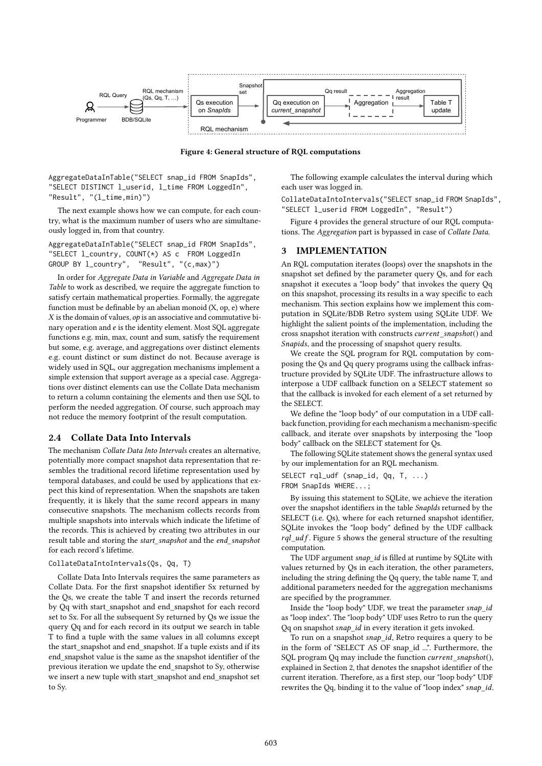

Figure 4: General structure of RQL computations

AggregateDataInTable("SELECT snap\_id FROM SnapIds", "SELECT DISTINCT l\_userid, l\_time FROM LoggedIn", "Result", "(l\_time,min)")

The next example shows how we can compute, for each country, what is the maximum number of users who are simultaneously logged in, from that country.

AggregateDataInTable("SELECT snap\_id FROM SnapIds", "SELECT l\_country, COUNT(\*) AS c FROM LoggedIn GROUP BY l\_country", "Result", "(c,max)")

In order for Aggregate Data in Variable and Aggregate Data in Table to work as described, we require the aggregate function to satisfy certain mathematical properties. Formally, the aggregate function must be definable by an abelian monoid  $(X, op, e)$  where  $X$  is the domain of values,  $op$  is an associative and commutative binary operation and e is the identity element. Most SQL aggregate functions e.g. min, max, count and sum, satisfy the requirement but some, e.g. average, and aggregations over distinct elements e.g. count distinct or sum distinct do not. Because average is widely used in SQL, our aggregation mechanisms implement a simple extension that support average as a special case. Aggregations over distinct elements can use the Collate Data mechanism to return a column containing the elements and then use SQL to perform the needed aggregation. Of course, such approach may not reduce the memory footprint of the result computation.

# 2.4 Collate Data Into Intervals

The mechanism Collate Data Into Intervals creates an alternative, potentially more compact snapshot data representation that resembles the traditional record lifetime representation used by temporal databases, and could be used by applications that expect this kind of representation. When the snapshots are taken frequently, it is likely that the same record appears in many consecutive snapshots. The mechanism collects records from multiple snapshots into intervals which indicate the lifetime of the records. This is achieved by creating two attributes in our result table and storing the start\_snapshot and the end\_snapshot for each record's lifetime.

#### CollateDataIntoIntervals(Qs, Qq, T)

Collate Data Into Intervals requires the same parameters as Collate Data. For the first snapshot identifier Sx returned by the Qs, we create the table T and insert the records returned by Qq with start\_snapshot and end\_snapshot for each record set to Sx. For all the subsequent Sy returned by Qs we issue the query Qq and for each record in its output we search in table T to find a tuple with the same values in all columns except the start\_snapshot and end\_snapshot. If a tuple exists and if its end\_snapshot value is the same as the snapshot identifier of the previous iteration we update the end\_snapshot to Sy, otherwise we insert a new tuple with start\_snapshot and end\_snapshot set to Sy.

The following example calculates the interval during which each user was logged in.

CollateDataIntoIntervals("SELECT snap\_id FROM SnapIds", "SELECT l\_userid FROM LoggedIn", "Result")

Figure 4 provides the general structure of our RQL computations. The Aggregation part is bypassed in case of Collate Data.

#### 3 IMPLEMENTATION

An RQL computation iterates (loops) over the snapshots in the snapshot set defined by the parameter query Qs, and for each snapshot it executes a "loop body" that invokes the query Qq on this snapshot, processing its results in a way specific to each mechanism. This section explains how we implement this computation in SQLite/BDB Retro system using SQLite UDF. We highlight the salient points of the implementation, including the cross snapshot iteration with constructs current\_snapshot() and Snapids, and the processing of snapshot query results.

We create the SQL program for RQL computation by composing the Qs and Qq query programs using the callback infrastructure provided by SQLite UDF. The infrastructure allows to interpose a UDF callback function on a SELECT statement so that the callback is invoked for each element of a set returned by the SELECT.

We define the "loop body" of our computation in a UDF callback function, providing for each mechanism a mechanism-specific callback, and iterate over snapshots by interposing the "loop body" callback on the SELECT statement for Qs.

The following SQLite statement shows the general syntax used by our implementation for an RQL mechanism.

SELECT rql\_udf (snap\_id, Qq, T, ...) FROM SnapIds WHERE...;

By issuing this statement to SQLite, we achieve the iteration over the snapshot identifiers in the table SnapIds returned by the SELECT (i.e. Qs), where for each returned snapshot identifier, SQLite invokes the "loop body" defined by the UDF callback  $rql\_udf$ . Figure 5 shows the general structure of the resulting computation.

The UDF argument snap\_id is filled at runtime by SQLite with values returned by Qs in each iteration, the other parameters, including the string defining the Qq query, the table name T, and additional parameters needed for the aggregation mechanisms are specified by the programmer.

Inside the "loop body" UDF, we treat the parameter snap\_id as "loop index". The "loop body" UDF uses Retro to run the query Qq on snapshot snap\_id in every iteration it gets invoked.

To run on a snapshot snap\_id, Retro requires a query to be in the form of "SELECT AS OF snap\_id ...". Furthermore, the SQL program Qq may include the function current\_snapshot(), explained in Section 2, that denotes the snapshot identifier of the current iteration. Therefore, as a first step, our "loop body" UDF rewrites the Qq, binding it to the value of "loop index" snap\_id.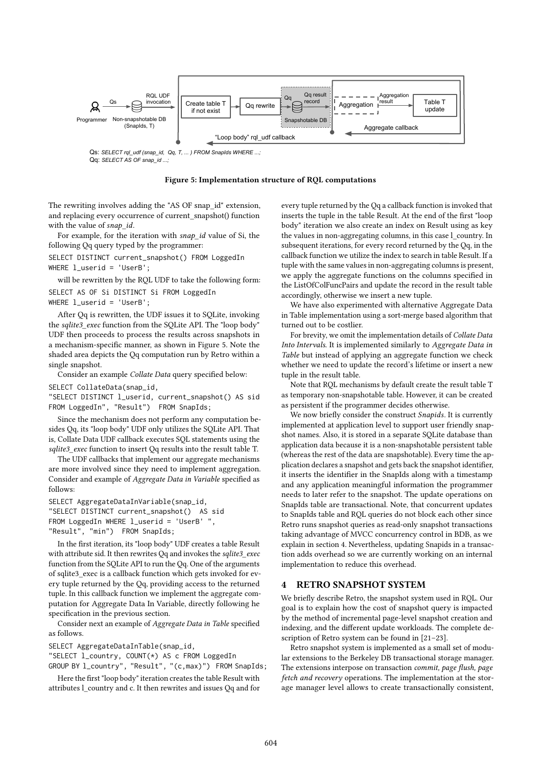

Qq: SELECT AS OF snap\_id ...

#### Figure 5: Implementation structure of RQL computations

The rewriting involves adding the "AS OF snap\_id" extension, and replacing every occurrence of current\_snapshot() function with the value of snap\_id.

For example, for the iteration with snap\_id value of Si, the following Qq query typed by the programmer:

SELECT DISTINCT current\_snapshot() FROM LoggedIn WHERE 1 userid = 'UserB':

will be rewritten by the RQL UDF to take the following form: SELECT AS OF Si DISTINCT Si FROM LoggedIn WHERE l\_userid = 'UserB';

After Qq is rewritten, the UDF issues it to SQLite, invoking the sqlite3 exec function from the SQLite API. The "loop body" UDF then proceeds to process the results across snapshots in a mechanism-specific manner, as shown in Figure 5. Note the shaded area depicts the Qq computation run by Retro within a single snapshot.

Consider an example Collate Data query specified below:

SELECT CollateData(snap\_id,

"SELECT DISTINCT l\_userid, current\_snapshot() AS sid FROM LoggedIn", "Result") FROM SnapIds;

Since the mechanism does not perform any computation besides Qq, its "loop body" UDF only utilizes the SQLite API. That is, Collate Data UDF callback executes SQL statements using the sqlite3 exec function to insert Qq results into the result table T.

The UDF callbacks that implement our aggregate mechanisms are more involved since they need to implement aggregation. Consider and example of Aggregate Data in Variable specified as follows:

SELECT AggregateDataInVariable(snap\_id, "SELECT DISTINCT current\_snapshot() AS sid FROM LoggedIn WHERE l\_userid = 'UserB' ", "Result", "min") FROM SnapIds;

In the first iteration, its "loop body" UDF creates a table Result with attribute sid. It then rewrites Oq and invokes the sqlite3\_exec function from the SQLite API to run the Qq. One of the arguments of sqlite3\_exec is a callback function which gets invoked for every tuple returned by the Qq, providing access to the returned tuple. In this callback function we implement the aggregate computation for Aggregate Data In Variable, directly following he specification in the previous section.

Consider next an example of Aggregate Data in Table specified as follows.

SELECT AggregateDataInTable(snap\_id,

"SELECT l\_country, COUNT(\*) AS c FROM LoggedIn

GROUP BY l\_country", "Result", "(c,max)") FROM SnapIds;

Here the first "loop body" iteration creates the table Result with attributes l\_country and c. It then rewrites and issues Qq and for every tuple returned by the Qq a callback function is invoked that inserts the tuple in the table Result. At the end of the first "loop body" iteration we also create an index on Result using as key the values in non-aggregating columns, in this case l\_country. In subsequent iterations, for every record returned by the Qq, in the callback function we utilize the index to search in table Result. If a tuple with the same values in non-aggregating columns is present, we apply the aggregate functions on the columns specified in the ListOfColFuncPairs and update the record in the result table accordingly, otherwise we insert a new tuple.

We have also experimented with alternative Aggregate Data in Table implementation using a sort-merge based algorithm that turned out to be costlier.

For brevity, we omit the implementation details of Collate Data Into Intervals. It is implemented similarly to Aggregate Data in Table but instead of applying an aggregate function we check whether we need to update the record's lifetime or insert a new tuple in the result table.

Note that RQL mechanisms by default create the result table T as temporary non-snapshotable table. However, it can be created as persistent if the programmer decides otherwise.

We now briefly consider the construct Snapids. It is currently implemented at application level to support user friendly snapshot names. Also, it is stored in a separate SQLite database than application data because it is a non-snapshotable persistent table (whereas the rest of the data are snapshotable). Every time the application declares a snapshot and gets back the snapshot identifier, it inserts the identifier in the SnapIds along with a timestamp and any application meaningful information the programmer needs to later refer to the snapshot. The update operations on SnapIds table are transactional. Note, that concurrent updates to SnapIds table and RQL queries do not block each other since Retro runs snapshot queries as read-only snapshot transactions taking advantage of MVCC concurrency control in BDB, as we explain in section 4. Nevertheless, updating Snapids in a transaction adds overhead so we are currently working on an internal implementation to reduce this overhead.

## 4 RETRO SNAPSHOT SYSTEM

We briefly describe Retro, the snapshot system used in RQL. Our goal is to explain how the cost of snapshot query is impacted by the method of incremental page-level snapshot creation and indexing, and the different update workloads. The complete description of Retro system can be found in [21–23].

Retro snapshot system is implemented as a small set of modular extensions to the Berkeley DB transactional storage manager. The extensions interpose on transaction commit, page flush, page fetch and recovery operations. The implementation at the storage manager level allows to create transactionally consistent,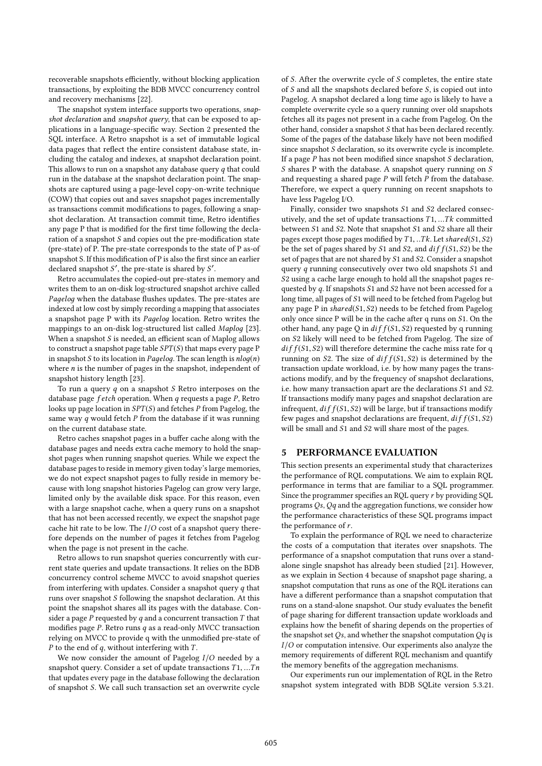recoverable snapshots efficiently, without blocking application transactions, by exploiting the BDB MVCC concurrency control and recovery mechanisms [22].

The snapshot system interface supports two operations, snapshot declaration and snapshot query, that can be exposed to applications in a language-specific way. Section 2 presented the SQL interface. A Retro snapshot is a set of immutable logical data pages that reflect the entire consistent database state, including the catalog and indexes, at snapshot declaration point. This allows to run on a snapshot any database query  $q$  that could run in the database at the snapshot declaration point. The snapshots are captured using a page-level copy-on-write technique (COW) that copies out and saves snapshot pages incrementally as transactions commit modifications to pages, following a snapshot declaration. At transaction commit time, Retro identifies any page P that is modified for the first time following the declaration of a snapshot S and copies out the pre-modification state (pre-state) of P. The pre-state corresponds to the state of P as-of snapshot S. If this modification of P is also the first since an earlier declared snapshot S', the pre-state is shared by S'.<br>Retro accumulates the conjecture pre-states in

Retro accumulates the copied-out pre-states in memory and writes them to an on-disk log-structured snapshot archive called Paдeloд when the database flushes updates. The pre-states are indexed at low cost by simply recording a mapping that associates a snapshot page P with its Paдeloд location. Retro writes the mappings to an on-disk log-structured list called Maplog [23]. When a snapshot  $S$  is needed, an efficient scan of Maplog allows to construct a snapshot page table  $SPT(S)$  that maps every page P in snapshot  $S$  to its location in *Pagelog*. The scan length is  $nlog(n)$ where  $n$  is the number of pages in the snapshot, independent of snapshot history length [23].

To run a query  $q$  on a snapshot  $S$  Retro interposes on the database page  $f$ etch operation. When  $q$  requests a page  $P$ , Retro looks up page location in  $SPT(S)$  and fetches P from Pagelog, the same way  $q$  would fetch  $P$  from the database if it was running on the current database state.

Retro caches snapshot pages in a buffer cache along with the database pages and needs extra cache memory to hold the snapshot pages when running snapshot queries. While we expect the database pages to reside in memory given today's large memories, we do not expect snapshot pages to fully reside in memory because with long snapshot histories Pagelog can grow very large, limited only by the available disk space. For this reason, even with a large snapshot cache, when a query runs on a snapshot that has not been accessed recently, we expect the snapshot page cache hit rate to be low. The  $I/O$  cost of a snapshot query therefore depends on the number of pages it fetches from Pagelog when the page is not present in the cache.

Retro allows to run snapshot queries concurrently with current state queries and update transactions. It relies on the BDB concurrency control scheme MVCC to avoid snapshot queries from interfering with updates. Consider a snapshot query  $q$  that runs over snapshot S following the snapshot declaration. At this point the snapshot shares all its pages with the database. Consider a page  $P$  requested by  $q$  and a concurrent transaction  $T$  that modifies page  $P$ . Retro runs  $q$  as a read-only MVCC transaction relying on MVCC to provide q with the unmodified pre-state of  $P$  to the end of  $q$ , without interfering with  $T$ .

We now consider the amount of Pagelog I/O needed by a snapshot query. Consider a set of update transactions  $T1, \ldots Tn$ that updates every page in the database following the declaration of snapshot S. We call such transaction set an overwrite cycle of S. After the overwrite cycle of S completes, the entire state of S and all the snapshots declared before S, is copied out into Pagelog. A snapshot declared a long time ago is likely to have a complete overwrite cycle so a query running over old snapshots fetches all its pages not present in a cache from Pagelog. On the other hand, consider a snapshot S that has been declared recently. Some of the pages of the database likely have not been modified since snapshot S declaration, so its overwrite cycle is incomplete. If a page  $P$  has not been modified since snapshot  $S$  declaration, S shares P with the database. A snapshot query running on S and requesting a shared page  $P$  will fetch  $P$  from the database. Therefore, we expect a query running on recent snapshots to have less Pagelog I/O.

Finally, consider two snapshots S<sup>1</sup> and S<sup>2</sup> declared consecutively, and the set of update transactions  $T1, \ldots Tk$  committed between S<sup>1</sup> and S2. Note that snapshot S<sup>1</sup> and S<sup>2</sup> share all their pages except those pages modified by  $T1, . . Tk$ . Let shared( $S1, S2$ ) be the set of pages shared by  $S1$  and  $S2$ , and  $diff(S1, S2)$  be the set of pages that are not shared by S<sup>1</sup> and S2. Consider a snapshot query q running consecutively over two old snapshots S1 and S<sup>2</sup> using a cache large enough to hold all the snapshot pages requested by *a*. If snapshots S1 and S2 have not been accessed for a long time, all pages of S<sup>1</sup> will need to be fetched from Pagelog but any page P in shared(S1, S2) needs to be fetched from Pagelog only once since P will be in the cache after q runs on S1. On the other hand, any page Q in  $diff(S1, S2)$  requested by q running on S<sup>2</sup> likely will need to be fetched from Pagelog. The size of  $diff(S1, S2)$  will therefore determine the cache miss rate for q running on S2. The size of  $diff(S1, S2)$  is determined by the transaction update workload, i.e. by how many pages the transactions modify, and by the frequency of snapshot declarations, i.e. how many transaction apart are the declarations S<sup>1</sup> and S2. If transactions modify many pages and snapshot declaration are infrequent,  $diff(S1, S2)$  will be large, but if transactions modify few pages and snapshot declarations are frequent,  $diff(S1, S2)$ will be small and S<sup>1</sup> and S<sup>2</sup> will share most of the pages.

# 5 PERFORMANCE EVALUATION

This section presents an experimental study that characterizes the performance of RQL computations. We aim to explain RQL performance in terms that are familiar to a SQL programmer. Since the programmer specifies an RQL query  $r$  by providing SQL programs  $Os$ ,  $Oq$  and the aggregation functions, we consider how the performance characteristics of these SQL programs impact the performance of r.

To explain the performance of RQL we need to characterize the costs of a computation that iterates over snapshots. The performance of a snapshot computation that runs over a standalone single snapshot has already been studied [21]. However, as we explain in Section 4 because of snapshot page sharing, a snapshot computation that runs as one of the RQL iterations can have a different performance than a snapshot computation that runs on a stand-alone snapshot. Our study evaluates the benefit of page sharing for different transaction update workloads and explains how the benefit of sharing depends on the properties of the snapshot set  $Q_s$ , and whether the snapshot computation  $Qq$  is I/O or computation intensive. Our experiments also analyze the memory requirements of different RQL mechanism and quantify the memory benefits of the aggregation mechanisms.

Our experiments run our implementation of RQL in the Retro snapshot system integrated with BDB SQLite version 5.3.21.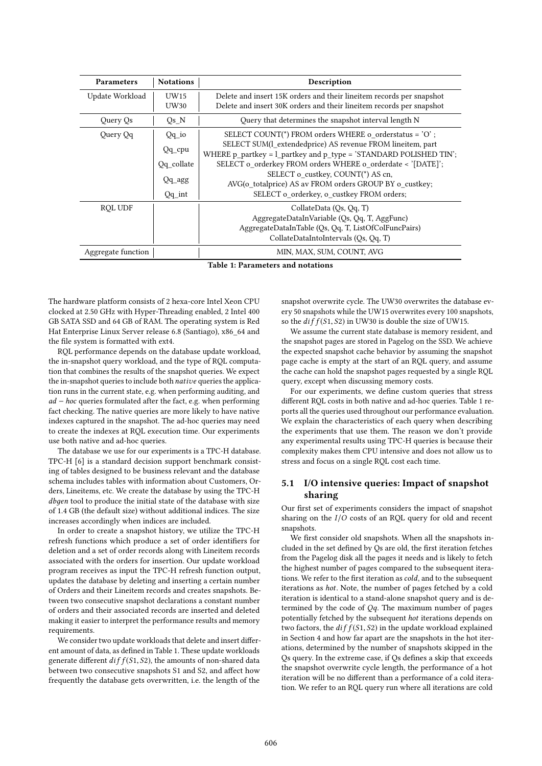| <b>Parameters</b>  | <b>Notations</b>    | Description                                                                                                                                                             |  |
|--------------------|---------------------|-------------------------------------------------------------------------------------------------------------------------------------------------------------------------|--|
| Update Workload    | UW15<br><b>UW30</b> | Delete and insert 15K orders and their lineitem records per snapshot<br>Delete and insert 30K orders and their lineitem records per snapshot                            |  |
| Query Qs           | $Qs$ <sub>N</sub>   | Query that determines the snapshot interval length N                                                                                                                    |  |
| Query Qq           | $Qq$ io             | SELECT COUNT(*) FROM orders WHERE o_orderstatus = 'O';                                                                                                                  |  |
|                    | $Qq$ <sub>cpu</sub> | SELECT SUM(l_extendedprice) AS revenue FROM lineitem, part<br>WHERE p_partkey = l_partkey and p_type = 'STANDARD POLISHED TIN';                                         |  |
|                    | Qq collate          | SELECT o_orderkey FROM orders WHERE o_orderdate < '[DATE]';                                                                                                             |  |
|                    | $Qq\_{agg}$         | SELECT o_custkey, COUNT(*) AS cn,<br>AVG(o_totalprice) AS av FROM orders GROUP BY o_custkey;                                                                            |  |
|                    | $Qq$ _int           | SELECT o_orderkey, o_custkey FROM orders;                                                                                                                               |  |
| <b>ROL UDF</b>     |                     | CollateData (Os, Oq, T)<br>AggregateDataInVariable (Qs, Qq, T, AggFunc)<br>AggregateDataInTable (Qs, Qq, T, ListOfColFuncPairs)<br>CollateDataIntoIntervals (Qs, Qq, T) |  |
| Aggregate function |                     | MIN, MAX, SUM, COUNT, AVG                                                                                                                                               |  |

Table 1: Parameters and notations

The hardware platform consists of 2 hexa-core Intel Xeon CPU clocked at 2.50 GHz with Hyper-Threading enabled, 2 Intel 400 GB SATA SSD and 64 GB of RAM. The operating system is Red Hat Enterprise Linux Server release 6.8 (Santiago), x86\_64 and the file system is formatted with ext4.

RQL performance depends on the database update workload, the in-snapshot query workload, and the type of RQL computation that combines the results of the snapshot queries. We expect the in-snapshot queries to include both native queries the application runs in the current state, e.g. when performing auditing, and ad <sup>−</sup> hoc queries formulated after the fact, e.g. when performing fact checking. The native queries are more likely to have native indexes captured in the snapshot. The ad-hoc queries may need to create the indexes at RQL execution time. Our experiments use both native and ad-hoc queries.

The database we use for our experiments is a TPC-H database. TPC-H [6] is a standard decision support benchmark consisting of tables designed to be business relevant and the database schema includes tables with information about Customers, Orders, Lineitems, etc. We create the database by using the TPC-H dbдen tool to produce the initial state of the database with size of 1.4 GB (the default size) without additional indices. The size increases accordingly when indices are included.

In order to create a snapshot history, we utilize the TPC-H refresh functions which produce a set of order identifiers for deletion and a set of order records along with Lineitem records associated with the orders for insertion. Our update workload program receives as input the TPC-H refresh function output, updates the database by deleting and inserting a certain number of Orders and their Lineitem records and creates snapshots. Between two consecutive snapshot declarations a constant number of orders and their associated records are inserted and deleted making it easier to interpret the performance results and memory requirements.

We consider two update workloads that delete and insert different amount of data, as defined in Table 1. These update workloads generate different  $diff(S1, S2)$ , the amounts of non-shared data between two consecutive snapshots S1 and S2, and affect how frequently the database gets overwritten, i.e. the length of the

snapshot overwrite cycle. The UW30 overwrites the database every 50 snapshots while the UW15 overwrites every 100 snapshots, so the  $diff(S1, S2)$  in UW30 is double the size of UW15.

We assume the current state database is memory resident, and the snapshot pages are stored in Pagelog on the SSD. We achieve the expected snapshot cache behavior by assuming the snapshot page cache is empty at the start of an RQL query, and assume the cache can hold the snapshot pages requested by a single RQL query, except when discussing memory costs.

For our experiments, we define custom queries that stress different RQL costs in both native and ad-hoc queries. Table 1 reports all the queries used throughout our performance evaluation. We explain the characteristics of each query when describing the experiments that use them. The reason we don't provide any experimental results using TPC-H queries is because their complexity makes them CPU intensive and does not allow us to stress and focus on a single RQL cost each time.

# 5.1 I/O intensive queries: Impact of snapshot sharing

Our first set of experiments considers the impact of snapshot sharing on the  $I/O$  costs of an RQL query for old and recent snapshots.

We first consider old snapshots. When all the snapshots included in the set defined by  $\overline{Q}s$  are old, the first iteration fetches from the Pagelog disk all the pages it needs and is likely to fetch the highest number of pages compared to the subsequent iterations. We refer to the first iteration as cold, and to the subsequent iterations as hot. Note, the number of pages fetched by a cold iteration is identical to a stand-alone snapshot query and is determined by the code of  $Qq$ . The maximum number of pages potentially fetched by the subsequent hot iterations depends on two factors, the  $diff(S1, S2)$  in the update workload explained in Section 4 and how far apart are the snapshots in the hot iterations, determined by the number of snapshots skipped in the Qs query. In the extreme case, if Qs defines a skip that exceeds the snapshot overwrite cycle length, the performance of a hot iteration will be no different than a performance of a cold iteration. We refer to an RQL query run where all iterations are cold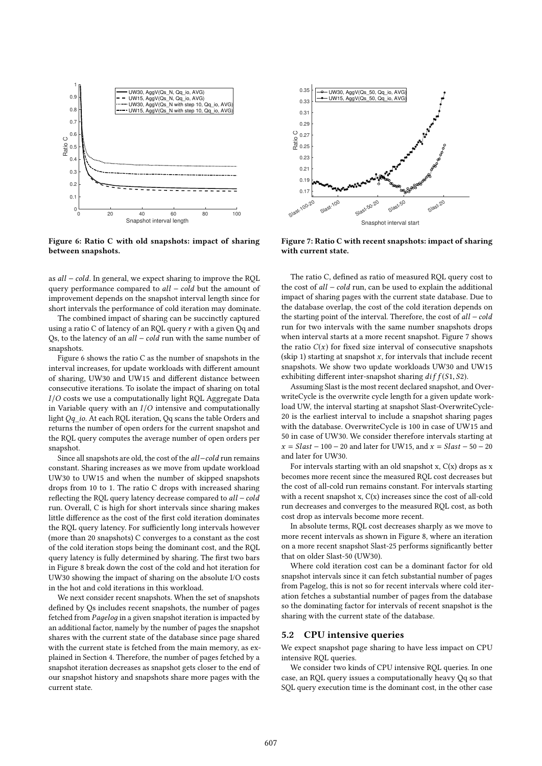

Figure 6: Ratio C with old snapshots: impact of sharing between snapshots.

as all <sup>−</sup> cold. In general, we expect sharing to improve the RQL query performance compared to *all* − *cold* but the amount of improvement depends on the snapshot interval length since for short intervals the performance of cold iteration may dominate.

The combined impact of sharing can be succinctly captured using a ratio  $C$  of latency of an RQL query  $r$  with a given  $Qq$  and Qs, to the latency of an all – cold run with the same number of snapshots.

Figure 6 shows the ratio C as the number of snapshots in the interval increases, for update workloads with different amount of sharing, UW30 and UW15 and different distance between consecutive iterations. To isolate the impact of sharing on total I/O costs we use a computationally light RQL Aggregate Data in Variable query with an  $I/O$  intensive and computationally light Qq\_io. At each RQL iteration, Qq scans the table Orders and returns the number of open orders for the current snapshot and the RQL query computes the average number of open orders per snapshot.

Since all snapshots are old, the cost of the all−cold run remains constant. Sharing increases as we move from update workload UW30 to UW15 and when the number of skipped snapshots drops from 10 to 1. The ratio C drops with increased sharing reflecting the ROL query latency decrease compared to *all* – *cold* run. Overall, C is high for short intervals since sharing makes little difference as the cost of the first cold iteration dominates the RQL query latency. For sufficiently long intervals however (more than 20 snapshots) C converges to a constant as the cost of the cold iteration stops being the dominant cost, and the RQL query latency is fully determined by sharing. The first two bars in Figure 8 break down the cost of the cold and hot iteration for UW30 showing the impact of sharing on the absolute I/O costs in the hot and cold iterations in this workload.

We next consider recent snapshots. When the set of snapshots defined by Qs includes recent snapshots, the number of pages fetched from Paдeloд in a given snapshot iteration is impacted by an additional factor, namely by the number of pages the snapshot shares with the current state of the database since page shared with the current state is fetched from the main memory, as explained in Section 4. Therefore, the number of pages fetched by a snapshot iteration decreases as snapshot gets closer to the end of our snapshot history and snapshots share more pages with the current state.



Figure 7: Ratio C with recent snapshots: impact of sharing with current state.

The ratio C, defined as ratio of measured RQL query cost to the cost of all <sup>−</sup> cold run, can be used to explain the additional impact of sharing pages with the current state database. Due to the database overlap, the cost of the cold iteration depends on the starting point of the interval. Therefore, the cost of *all – cold* run for two intervals with the same number snapshots drops when interval starts at a more recent snapshot. Figure 7 shows the ratio  $C(x)$  for fixed size interval of consecutive snapshots (skip 1) starting at snapshot  $x$ , for intervals that include recent snapshots. We show two update workloads UW30 and UW15 exhibiting different inter-snapshot sharing  $diff(S1, S2)$ .

Assuming Slast is the most recent declared snapshot, and OverwriteCycle is the overwrite cycle length for a given update workload UW, the interval starting at snapshot Slast-OverwriteCycle-20 is the earliest interval to include a snapshot sharing pages with the database. OverwriteCycle is 100 in case of UW15 and 50 in case of UW30. We consider therefore intervals starting at  $x = Slast - 100 - 20$  and later for UW15, and  $x = Slast - 50 - 20$ and later for UW30.

For intervals starting with an old snapshot x,  $C(x)$  drops as x becomes more recent since the measured RQL cost decreases but the cost of all-cold run remains constant. For intervals starting with a recent snapshot x,  $C(x)$  increases since the cost of all-cold run decreases and converges to the measured RQL cost, as both cost drop as intervals become more recent.

In absolute terms, RQL cost decreases sharply as we move to more recent intervals as shown in Figure 8, where an iteration on a more recent snapshot Slast-25 performs significantly better that on older Slast-50 (UW30).

Where cold iteration cost can be a dominant factor for old snapshot intervals since it can fetch substantial number of pages from Pagelog, this is not so for recent intervals where cold iteration fetches a substantial number of pages from the database so the dominating factor for intervals of recent snapshot is the sharing with the current state of the database.

## 5.2 CPU intensive queries

We expect snapshot page sharing to have less impact on CPU intensive RQL queries.

We consider two kinds of CPU intensive RQL queries. In one case, an RQL query issues a computationally heavy Qq so that SQL query execution time is the dominant cost, in the other case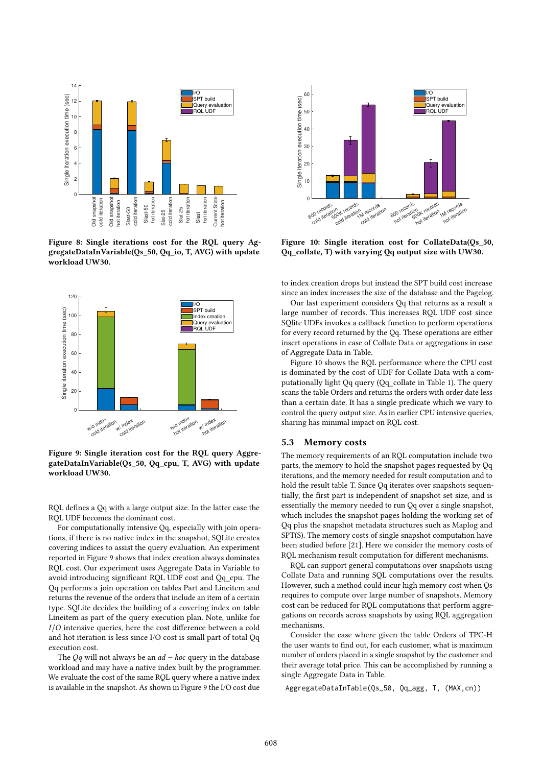

Figure 8: Single iterations cost for the RQL query AggregateDataInVariable(Qs\_50, Qq\_io, T, AVG) with update workload UW30.



Figure 9: Single iteration cost for the RQL query AggregateDataInVariable(Qs\_50, Qq\_cpu, T, AVG) with update workload UW30.

RQL defines a Qq with a large output size. In the latter case the RQL UDF becomes the dominant cost.

For computationally intensive Qq, especially with join operations, if there is no native index in the snapshot, SQLite creates covering indices to assist the query evaluation. An experiment reported in Figure 9 shows that index creation always dominates RQL cost. Our experiment uses Aggregate Data in Variable to avoid introducing significant RQL UDF cost and Qq\_cpu. The Qq performs a join operation on tables Part and Lineitem and returns the revenue of the orders that include an item of a certain type. SQLite decides the building of a covering index on table Lineitem as part of the query execution plan. Note, unlike for I/O intensive queries, here the cost difference between a cold and hot iteration is less since I/O cost is small part of total Qq execution cost.

The  $Qq$  will not always be an  $ad - hoc$  query in the database workload and may have a native index built by the programmer. We evaluate the cost of the same RQL query where a native index is available in the snapshot. As shown in Figure 9 the I/O cost due



Figure 10: Single iteration cost for CollateData(Qs\_50, Qq\_collate, T) with varying Qq output size with UW30.

to index creation drops but instead the SPT build cost increase since an index increases the size of the database and the Pagelog.

Our last experiment considers Qq that returns as a result a large number of records. This increases RQL UDF cost since SQlite UDFs invokes a callback function to perform operations for every record returned by the Qq. These operations are either insert operations in case of Collate Data or aggregations in case of Aggregate Data in Table.

Figure 10 shows the RQL performance where the CPU cost is dominated by the cost of UDF for Collate Data with a computationally light Qq query (Qq\_collate in Table 1). The query scans the table Orders and returns the orders with order date less than a certain date. It has a single predicate which we vary to control the query output size. As in earlier CPU intensive queries, sharing has minimal impact on RQL cost.

## 5.3 Memory costs

The memory requirements of an RQL computation include two parts, the memory to hold the snapshot pages requested by Qq iterations, and the memory needed for result computation and to hold the result table T. Since Qq iterates over snapshots sequentially, the first part is independent of snapshot set size, and is essentially the memory needed to run Qq over a single snapshot, which includes the snapshot pages holding the working set of Qq plus the snapshot metadata structures such as Maplog and SPT(S). The memory costs of single snapshot computation have been studied before [21]. Here we consider the memory costs of RQL mechanism result computation for different mechanisms.

RQL can support general computations over snapshots using Collate Data and running SQL computations over the results. However, such a method could incur high memory cost when Qs requires to compute over large number of snapshots. Memory cost can be reduced for RQL computations that perform aggregations on records across snapshots by using RQL aggregation mechanisms.

Consider the case where given the table Orders of TPC-H the user wants to find out, for each customer, what is maximum number of orders placed in a single snapshot by the customer and their average total price. This can be accomplished by running a single Aggregate Data in Table.

AggregateDataInTable(Qs\_50, Qq\_agg, T, (MAX,cn))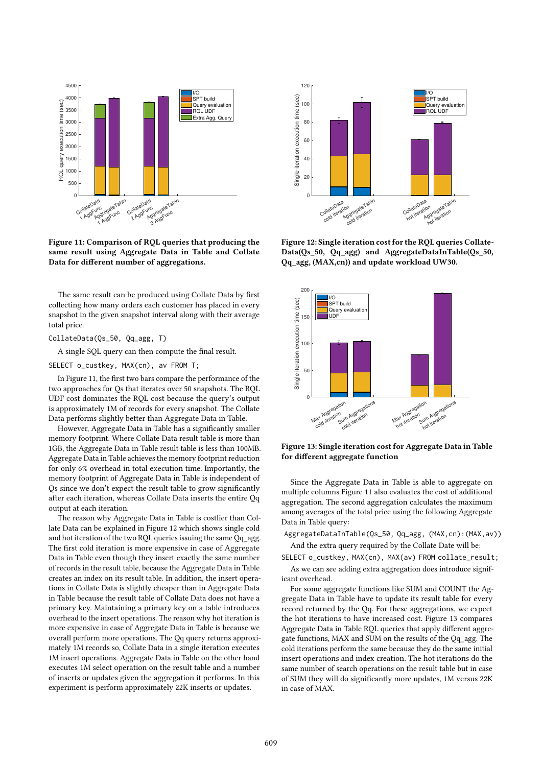

Figure 11: Comparison of RQL queries that producing the same result using Aggregate Data in Table and Collate Data for different number of aggregations.

The same result can be produced using Collate Data by first collecting how many orders each customer has placed in every snapshot in the given snapshot interval along with their average total price.

#### CollateData(Qs\_50, Qq\_agg, T)

A single SQL query can then compute the final result.

SELECT o\_custkey, MAX(cn), av FROM T;

In Figure 11, the first two bars compare the performance of the two approaches for Qs that iterates over 50 snapshots. The RQL UDF cost dominates the RQL cost because the query's output is approximately 1M of records for every snapshot. The Collate Data performs slightly better than Aggregate Data in Table.

However, Aggregate Data in Table has a significantly smaller memory footprint. Where Collate Data result table is more than 1GB, the Aggregate Data in Table result table is less than 100MB. Aggregate Data in Table achieves the memory footprint reduction for only 6% overhead in total execution time. Importantly, the memory footprint of Aggregate Data in Table is independent of Qs since we don't expect the result table to grow significantly after each iteration, whereas Collate Data inserts the entire Qq output at each iteration.

The reason why Aggregate Data in Table is costlier than Collate Data can be explained in Figure 12 which shows single cold and hot iteration of the two RQL queries issuing the same Qq\_agg. The first cold iteration is more expensive in case of Aggregate Data in Table even though they insert exactly the same number of records in the result table, because the Aggregate Data in Table creates an index on its result table. In addition, the insert operations in Collate Data is slightly cheaper than in Aggregate Data in Table because the result table of Collate Data does not have a primary key. Maintaining a primary key on a table introduces overhead to the insert operations. The reason why hot iteration is more expensive in case of Aggregate Data in Table is because we overall perform more operations. The Qq query returns approximately 1M records so, Collate Data in a single iteration executes 1M insert operations. Aggregate Data in Table on the other hand executes 1M select operation on the result table and a number of inserts or updates given the aggregation it performs. In this experiment is perform approximately 22K inserts or updates.



Figure 12: Single iteration cost for the RQL queries Collate-Data(Qs\_50, Qq\_agg) and AggregateDataInTable(Qs\_50, Qq\_agg, (MAX,cn)) and update workload UW30.



Figure 13: Single iteration cost for Aggregate Data in Table for different aggregate function

Since the Aggregate Data in Table is able to aggregate on multiple columns Figure 11 also evaluates the cost of additional aggregation. The second aggregation calculates the maximum among averages of the total price using the following Aggregate Data in Table query:

AggregateDataInTable(Qs\_50, Qq\_agg, (MAX,cn):(MAX,av))

And the extra query required by the Collate Date will be: SELECT o\_custkey, MAX(cn), MAX(av) FROM collate\_result;

As we can see adding extra aggregation does introduce significant overhead.

For some aggregate functions like SUM and COUNT the Aggregate Data in Table have to update its result table for every record returned by the Qq. For these aggregations, we expect the hot iterations to have increased cost. Figure 13 compares Aggregate Data in Table RQL queries that apply different aggregate functions, MAX and SUM on the results of the Qq\_agg. The cold iterations perform the same because they do the same initial insert operations and index creation. The hot iterations do the same number of search operations on the result table but in case of SUM they will do significantly more updates, 1M versus 22K in case of MAX.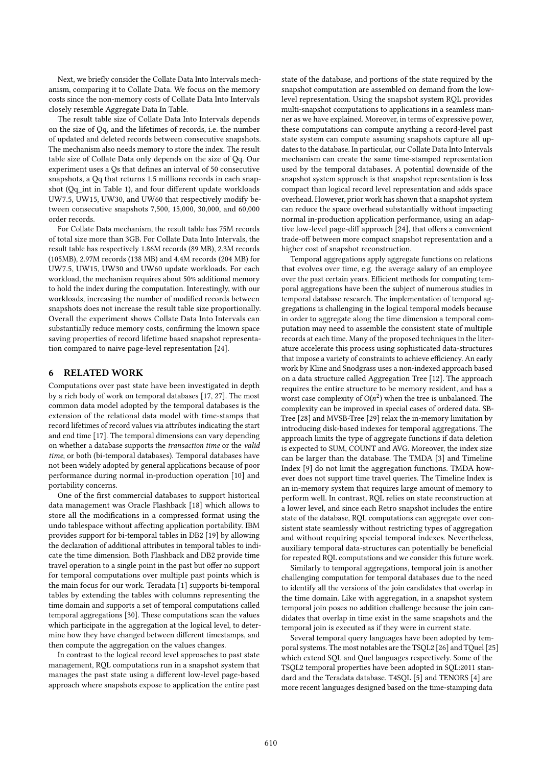Next, we briefly consider the Collate Data Into Intervals mechanism, comparing it to Collate Data. We focus on the memory costs since the non-memory costs of Collate Data Into Intervals closely resemble Aggregate Data In Table.

The result table size of Collate Data Into Intervals depends on the size of Qq, and the lifetimes of records, i.e. the number of updated and deleted records between consecutive snapshots. The mechanism also needs memory to store the index. The result table size of Collate Data only depends on the size of Qq. Our experiment uses a Qs that defines an interval of 50 consecutive snapshots, a Qq that returns 1.5 millions records in each snapshot (Qq\_int in Table 1), and four different update workloads UW7.5, UW15, UW30, and UW60 that respectively modify between consecutive snapshots 7,500, 15,000, 30,000, and 60,000 order records.

For Collate Data mechanism, the result table has 75M records of total size more than 3GB. For Collate Data Into Intervals, the result table has respectively 1.86M records (89 MB), 2.3M records (105MB), 2.97M records (138 MB) and 4.4M records (204 MB) for UW7.5, UW15, UW30 and UW60 update workloads. For each workload, the mechanism requires about 50% additional memory to hold the index during the computation. Interestingly, with our workloads, increasing the number of modified records between snapshots does not increase the result table size proportionally. Overall the experiment shows Collate Data Into Intervals can substantially reduce memory costs, confirming the known space saving properties of record lifetime based snapshot representation compared to naive page-level representation [24].

# 6 RELATED WORK

Computations over past state have been investigated in depth by a rich body of work on temporal databases [17, 27]. The most common data model adopted by the temporal databases is the extension of the relational data model with time-stamps that record lifetimes of record values via attributes indicating the start and end time [17]. The temporal dimensions can vary depending on whether a database supports the transaction time or the valid time, or both (bi-temporal databases). Temporal databases have not been widely adopted by general applications because of poor performance during normal in-production operation [10] and portability concerns.

One of the first commercial databases to support historical data management was Oracle Flashback [18] which allows to store all the modifications in a compressed format using the undo tablespace without affecting application portability. IBM provides support for bi-temporal tables in DB2 [19] by allowing the declaration of additional attributes in temporal tables to indicate the time dimension. Both Flashback and DB2 provide time travel operation to a single point in the past but offer no support for temporal computations over multiple past points which is the main focus for our work. Teradata [1] supports bi-temporal tables by extending the tables with columns representing the time domain and supports a set of temporal computations called temporal aggregations [30]. These computations scan the values which participate in the aggregation at the logical level, to determine how they have changed between different timestamps, and then compute the aggregation on the values changes.

In contrast to the logical record level approaches to past state management, RQL computations run in a snapshot system that manages the past state using a different low-level page-based approach where snapshots expose to application the entire past state of the database, and portions of the state required by the snapshot computation are assembled on demand from the lowlevel representation. Using the snapshot system RQL provides multi-snapshot computations to applications in a seamless manner as we have explained. Moreover, in terms of expressive power, these computations can compute anything a record-level past state system can compute assuming snapshots capture all updates to the database. In particular, our Collate Data Into Intervals mechanism can create the same time-stamped representation used by the temporal databases. A potential downside of the snapshot system approach is that snapshot representation is less compact than logical record level representation and adds space overhead. However, prior work has shown that a snapshot system can reduce the space overhead substantially without impacting normal in-production application performance, using an adaptive low-level page-diff approach [24], that offers a convenient trade-off between more compact snapshot representation and a higher cost of snapshot reconstruction.

Temporal aggregations apply aggregate functions on relations that evolves over time, e.g. the average salary of an employee over the past certain years. Efficient methods for computing temporal aggregations have been the subject of numerous studies in temporal database research. The implementation of temporal aggregations is challenging in the logical temporal models because in order to aggregate along the time dimension a temporal computation may need to assemble the consistent state of multiple records at each time. Many of the proposed techniques in the literature accelerate this process using sophisticated data-structures that impose a variety of constraints to achieve efficiency. An early work by Kline and Snodgrass uses a non-indexed approach based on a data structure called Aggregation Tree [12]. The approach requires the entire structure to be memory resident, and has a worst case complexity of  $O(n^2)$  when the tree is unbalanced. The complexity can be improved in special cases of ordered data. SB complexity can be improved in special cases of ordered data. SB-Tree [28] and MVSB-Tree [29] relax the in-memory limitation by introducing disk-based indexes for temporal aggregations. The approach limits the type of aggregate functions if data deletion is expected to SUM, COUNT and AVG. Moreover, the index size can be larger than the database. The TMDA [3] and Timeline Index [9] do not limit the aggregation functions. TMDA however does not support time travel queries. The Timeline Index is an in-memory system that requires large amount of memory to perform well. In contrast, RQL relies on state reconstruction at a lower level, and since each Retro snapshot includes the entire state of the database, RQL computations can aggregate over consistent state seamlessly without restricting types of aggregation and without requiring special temporal indexes. Nevertheless, auxiliary temporal data-structures can potentially be beneficial for repeated RQL computations and we consider this future work.

Similarly to temporal aggregations, temporal join is another challenging computation for temporal databases due to the need to identify all the versions of the join candidates that overlap in the time domain. Like with aggregation, in a snapshot system temporal join poses no addition challenge because the join candidates that overlap in time exist in the same snapshots and the temporal join is executed as if they were in current state.

Several temporal query languages have been adopted by temporal systems. The most notables are the TSQL2 [26] and TQuel [25] which extend SQL and Quel languages respectively. Some of the TSQL2 temporal properties have been adopted in SQL:2011 standard and the Teradata database. T4SQL [5] and TENORS [4] are more recent languages designed based on the time-stamping data